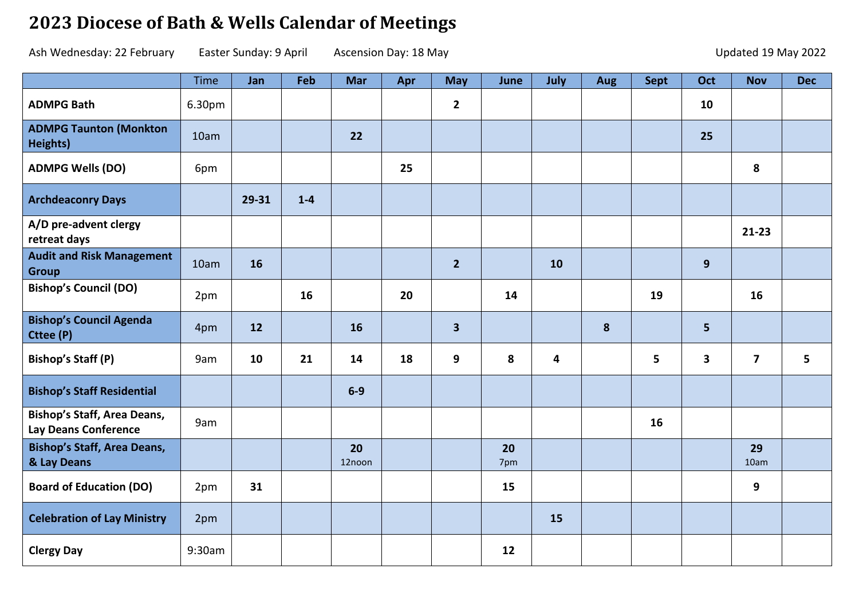## **2023 Diocese of Bath & Wells Calendar of Meetings**

Ash Wednesday: 22 February Easter Sunday: 9 April Ascension Day: 18 May 18 May 100 100 100 100 100 100 100 100 1

|                                                                   | Time   | Jan   | Feb     | <b>Mar</b>   | Apr | <b>May</b>     | June      | July                    | Aug | Sept | Oct            | <b>Nov</b>              | <b>Dec</b> |
|-------------------------------------------------------------------|--------|-------|---------|--------------|-----|----------------|-----------|-------------------------|-----|------|----------------|-------------------------|------------|
| <b>ADMPG Bath</b>                                                 | 6.30pm |       |         |              |     | $\mathbf{2}$   |           |                         |     |      | 10             |                         |            |
| <b>ADMPG Taunton (Monkton</b><br>Heights)                         | 10am   |       |         | 22           |     |                |           |                         |     |      | 25             |                         |            |
| <b>ADMPG Wells (DO)</b>                                           | 6pm    |       |         |              | 25  |                |           |                         |     |      |                | 8                       |            |
| <b>Archdeaconry Days</b>                                          |        | 29-31 | $1 - 4$ |              |     |                |           |                         |     |      |                |                         |            |
| A/D pre-advent clergy<br>retreat days                             |        |       |         |              |     |                |           |                         |     |      |                | $21 - 23$               |            |
| <b>Audit and Risk Management</b><br><b>Group</b>                  | 10am   | 16    |         |              |     | $\overline{2}$ |           | 10                      |     |      | 9              |                         |            |
| <b>Bishop's Council (DO)</b>                                      | 2pm    |       | 16      |              | 20  |                | 14        |                         |     | 19   |                | 16                      |            |
| <b>Bishop's Council Agenda</b><br>Cttee (P)                       | 4pm    | 12    |         | 16           |     | 3 <sup>1</sup> |           |                         | 8   |      | $5\phantom{a}$ |                         |            |
| <b>Bishop's Staff (P)</b>                                         | 9am    | 10    | 21      | 14           | 18  | 9              | 8         | $\overline{\mathbf{4}}$ |     | 5    | 3              | $\overline{\mathbf{z}}$ | 5          |
| <b>Bishop's Staff Residential</b>                                 |        |       |         | $6-9$        |     |                |           |                         |     |      |                |                         |            |
| <b>Bishop's Staff, Area Deans,</b><br><b>Lay Deans Conference</b> | 9am    |       |         |              |     |                |           |                         |     | 16   |                |                         |            |
| <b>Bishop's Staff, Area Deans,</b><br>& Lay Deans                 |        |       |         | 20<br>12noon |     |                | 20<br>7pm |                         |     |      |                | 29<br>10am              |            |
| <b>Board of Education (DO)</b>                                    | 2pm    | 31    |         |              |     |                | 15        |                         |     |      |                | 9                       |            |
| <b>Celebration of Lay Ministry</b>                                | 2pm    |       |         |              |     |                |           | 15                      |     |      |                |                         |            |
| <b>Clergy Day</b>                                                 | 9:30am |       |         |              |     |                | 12        |                         |     |      |                |                         |            |